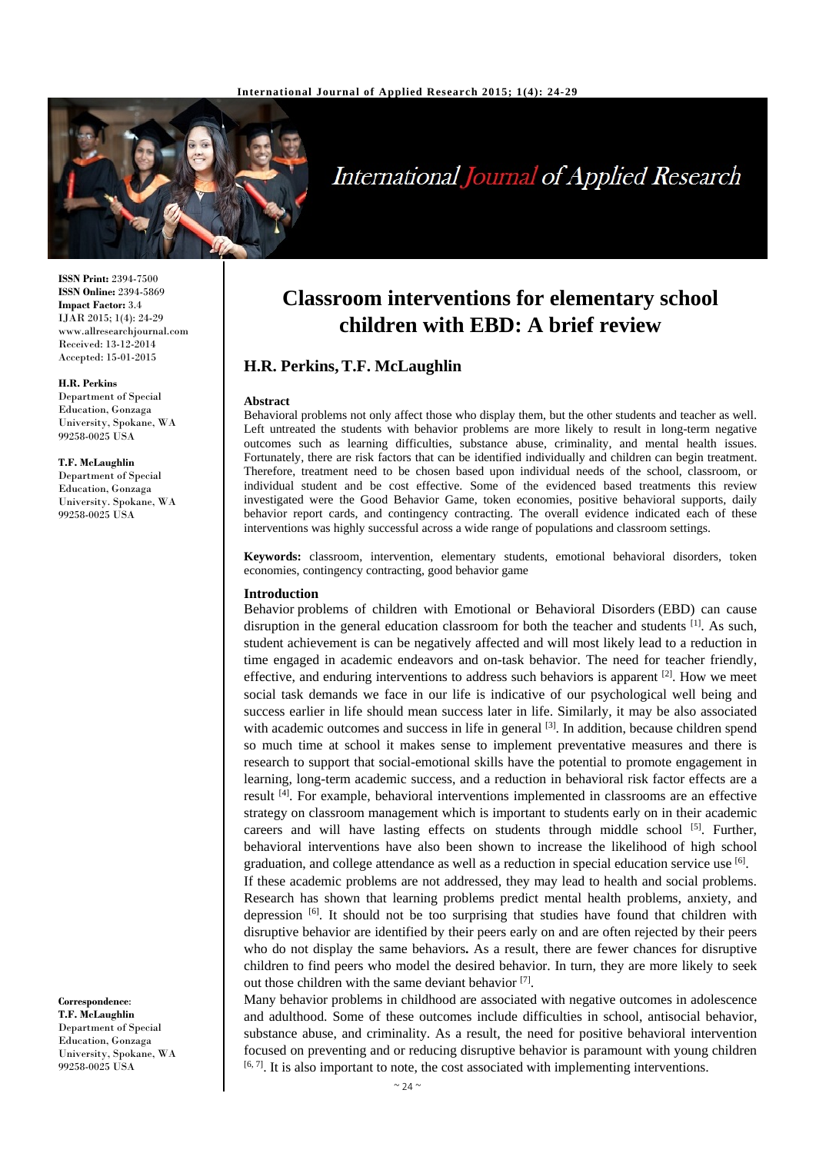

# International Journal of Applied Research

**ISSN Print:** 2394-7500 **ISSN Online:** 2394-5869 **Impact Factor:** 3.4 IJAR 2015; 1(4): 24-29 www.allresearchjournal.com Received: 13-12-2014 Accepted: 15-01-2015

#### **H.R. Perkins**

Department of Special Education, Gonzaga University, Spokane, WA 99258-0025 USA

#### **T.F. McLaughlin**

Department of Special Education, Gonzaga University. Spokane, WA 99258-0025 USA

**Correspondence**: **T.F. McLaughlin**  Department of Special Education, Gonzaga University, Spokane, WA 99258-0025 USA

## **Classroom interventions for elementary school children with EBD: A brief review**

## **H.R. Perkins,T.F. McLaughlin**

#### **Abstract**

Behavioral problems not only affect those who display them, but the other students and teacher as well. Left untreated the students with behavior problems are more likely to result in long-term negative outcomes such as learning difficulties, substance abuse, criminality, and mental health issues. Fortunately, there are risk factors that can be identified individually and children can begin treatment. Therefore, treatment need to be chosen based upon individual needs of the school, classroom, or individual student and be cost effective. Some of the evidenced based treatments this review investigated were the Good Behavior Game, token economies, positive behavioral supports, daily behavior report cards, and contingency contracting. The overall evidence indicated each of these interventions was highly successful across a wide range of populations and classroom settings.

**Keywords:** classroom, intervention, elementary students, emotional behavioral disorders, token economies, contingency contracting, good behavior game

#### **Introduction**

Behavior problems of children with Emotional or Behavioral Disorders (EBD) can cause disruption in the general education classroom for both the teacher and students  $^{[1]}$ . As such, student achievement is can be negatively affected and will most likely lead to a reduction in time engaged in academic endeavors and on-task behavior. The need for teacher friendly, effective, and enduring interventions to address such behaviors is apparent  $[2]$ . How we meet social task demands we face in our life is indicative of our psychological well being and success earlier in life should mean success later in life. Similarly, it may be also associated with academic outcomes and success in life in general  $[3]$ . In addition, because children spend so much time at school it makes sense to implement preventative measures and there is research to support that social-emotional skills have the potential to promote engagement in learning, long-term academic success, and a reduction in behavioral risk factor effects are a result [4]. For example, behavioral interventions implemented in classrooms are an effective strategy on classroom management which is important to students early on in their academic careers and will have lasting effects on students through middle school  $[5]$ . Further, behavioral interventions have also been shown to increase the likelihood of high school graduation, and college attendance as well as a reduction in special education service use  $^{[6]}$ .

If these academic problems are not addressed, they may lead to health and social problems. Research has shown that learning problems predict mental health problems, anxiety, and depression  $\left[6\right]$ . It should not be too surprising that studies have found that children with disruptive behavior are identified by their peers early on and are often rejected by their peers who do not display the same behaviors**.** As a result, there are fewer chances for disruptive children to find peers who model the desired behavior. In turn, they are more likely to seek out those children with the same deviant behavior [7].

Many behavior problems in childhood are associated with negative outcomes in adolescence and adulthood. Some of these outcomes include difficulties in school, antisocial behavior, substance abuse, and criminality. As a result, the need for positive behavioral intervention focused on preventing and or reducing disruptive behavior is paramount with young children  $[6, 7]$ . It is also important to note, the cost associated with implementing interventions.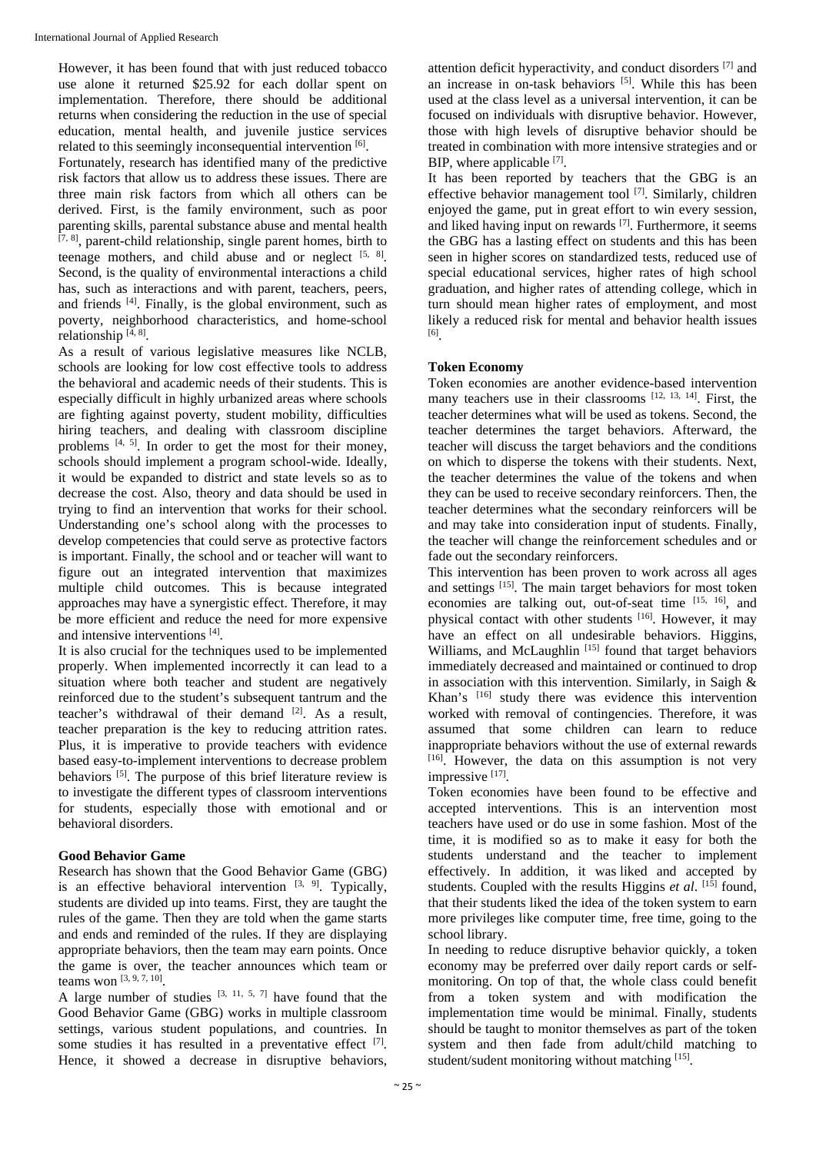However, it has been found that with just reduced tobacco use alone it returned \$25.92 for each dollar spent on implementation. Therefore, there should be additional returns when considering the reduction in the use of special education, mental health, and juvenile justice services related to this seemingly inconsequential intervention [6].

Fortunately, research has identified many of the predictive risk factors that allow us to address these issues. There are three main risk factors from which all others can be derived. First, is the family environment, such as poor parenting skills, parental substance abuse and mental health [7, 8], parent-child relationship, single parent homes, birth to teenage mothers, and child abuse and or neglect  $[5, 8]$ . Second, is the quality of environmental interactions a child has, such as interactions and with parent, teachers, peers, and friends  $[4]$ . Finally, is the global environment, such as poverty, neighborhood characteristics, and home-school relationship  $[4, 8]$ .

As a result of various legislative measures like NCLB, schools are looking for low cost effective tools to address the behavioral and academic needs of their students. This is especially difficult in highly urbanized areas where schools are fighting against poverty, student mobility, difficulties hiring teachers, and dealing with classroom discipline problems  $[4, 5]$ . In order to get the most for their money, schools should implement a program school-wide. Ideally, it would be expanded to district and state levels so as to decrease the cost. Also, theory and data should be used in trying to find an intervention that works for their school. Understanding one's school along with the processes to develop competencies that could serve as protective factors is important. Finally, the school and or teacher will want to figure out an integrated intervention that maximizes multiple child outcomes. This is because integrated approaches may have a synergistic effect. Therefore, it may be more efficient and reduce the need for more expensive and intensive interventions [4].

It is also crucial for the techniques used to be implemented properly. When implemented incorrectly it can lead to a situation where both teacher and student are negatively reinforced due to the student's subsequent tantrum and the teacher's withdrawal of their demand [2]. As a result, teacher preparation is the key to reducing attrition rates. Plus, it is imperative to provide teachers with evidence based easy-to-implement interventions to decrease problem behaviors [5]. The purpose of this brief literature review is to investigate the different types of classroom interventions for students, especially those with emotional and or behavioral disorders.

#### **Good Behavior Game**

Research has shown that the Good Behavior Game (GBG) is an effective behavioral intervention  $[3, 9]$ . Typically, students are divided up into teams. First, they are taught the rules of the game. Then they are told when the game starts and ends and reminded of the rules. If they are displaying appropriate behaviors, then the team may earn points. Once the game is over, the teacher announces which team or teams won  $[3, 9, 7, 10]$ .

A large number of studies  $[3, 11, 5, 7]$  have found that the Good Behavior Game (GBG) works in multiple classroom settings, various student populations, and countries. In some studies it has resulted in a preventative effect [7]. Hence, it showed a decrease in disruptive behaviors,

attention deficit hyperactivity, and conduct disorders [7] and an increase in on-task behaviors  $[5]$ . While this has been used at the class level as a universal intervention, it can be focused on individuals with disruptive behavior. However, those with high levels of disruptive behavior should be treated in combination with more intensive strategies and or BIP, where applicable [7].

It has been reported by teachers that the GBG is an effective behavior management tool [7]. Similarly, children enjoyed the game, put in great effort to win every session, and liked having input on rewards [7]. Furthermore, it seems the GBG has a lasting effect on students and this has been seen in higher scores on standardized tests, reduced use of special educational services, higher rates of high school graduation, and higher rates of attending college, which in turn should mean higher rates of employment, and most likely a reduced risk for mental and behavior health issues [6].

#### **Token Economy**

Token economies are another evidence-based intervention many teachers use in their classrooms [12, 13, 14]. First, the teacher determines what will be used as tokens. Second, the teacher determines the target behaviors. Afterward, the teacher will discuss the target behaviors and the conditions on which to disperse the tokens with their students. Next, the teacher determines the value of the tokens and when they can be used to receive secondary reinforcers. Then, the teacher determines what the secondary reinforcers will be and may take into consideration input of students. Finally, the teacher will change the reinforcement schedules and or fade out the secondary reinforcers.

This intervention has been proven to work across all ages and settings <sup>[15]</sup>. The main target behaviors for most token economies are talking out, out-of-seat time [15, 16], and physical contact with other students [16]. However, it may have an effect on all undesirable behaviors. Higgins, Williams, and McLaughlin<sup>[15]</sup> found that target behaviors immediately decreased and maintained or continued to drop in association with this intervention. Similarly, in Saigh & Khan's <sup>[16]</sup> study there was evidence this intervention worked with removal of contingencies. Therefore, it was assumed that some children can learn to reduce inappropriate behaviors without the use of external rewards [16]. However, the data on this assumption is not very impressive [17].

Token economies have been found to be effective and accepted interventions. This is an intervention most teachers have used or do use in some fashion. Most of the time, it is modified so as to make it easy for both the students understand and the teacher to implement effectively. In addition, it was liked and accepted by students. Coupled with the results Higgins *et al.*  $[1\bar{5}]$  found, that their students liked the idea of the token system to earn more privileges like computer time, free time, going to the school library.

In needing to reduce disruptive behavior quickly, a token economy may be preferred over daily report cards or selfmonitoring. On top of that, the whole class could benefit from a token system and with modification the implementation time would be minimal. Finally, students should be taught to monitor themselves as part of the token system and then fade from adult/child matching to student/sudent monitoring without matching [15].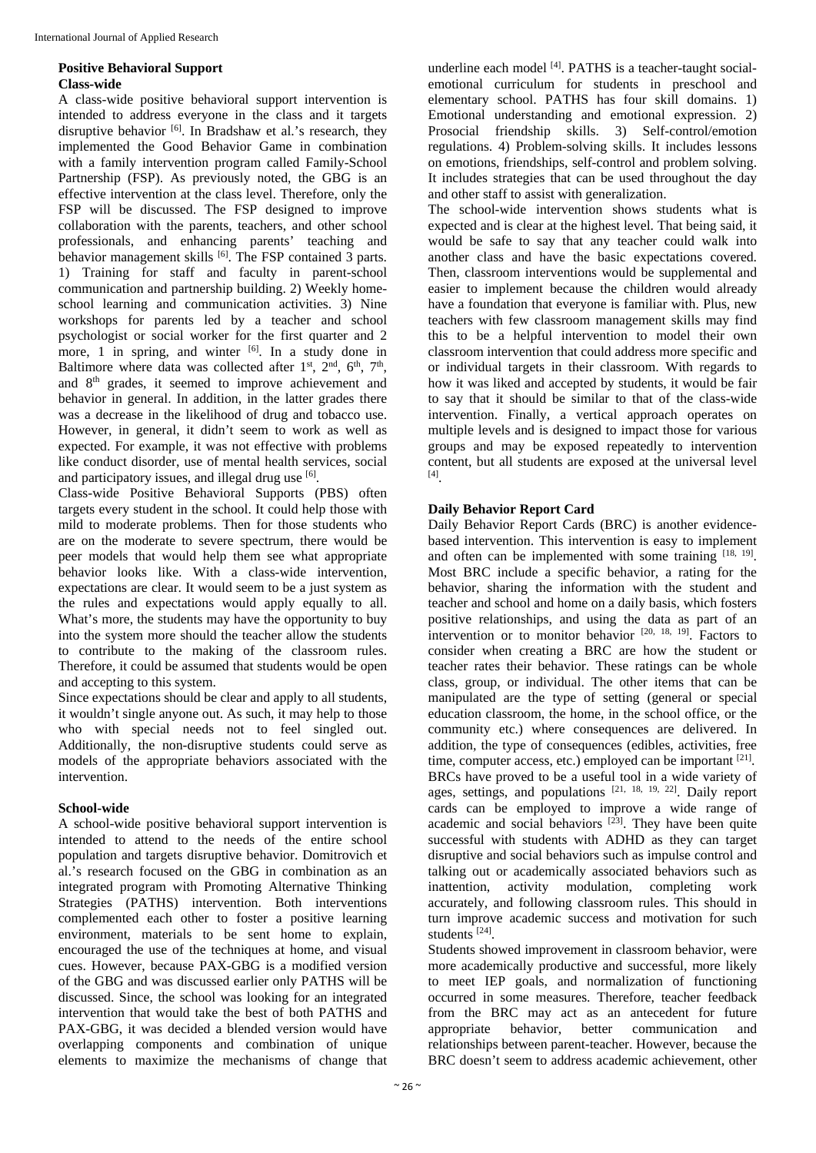#### **Positive Behavioral Support Class-wide**

A class-wide positive behavioral support intervention is intended to address everyone in the class and it targets disruptive behavior [6]. In Bradshaw et al.'s research, they implemented the Good Behavior Game in combination with a family intervention program called Family-School Partnership (FSP). As previously noted, the GBG is an effective intervention at the class level. Therefore, only the FSP will be discussed. The FSP designed to improve collaboration with the parents, teachers, and other school professionals, and enhancing parents' teaching and behavior management skills  $^{[6]}$ . The FSP contained 3 parts. 1) Training for staff and faculty in parent-school communication and partnership building. 2) Weekly homeschool learning and communication activities. 3) Nine workshops for parents led by a teacher and school psychologist or social worker for the first quarter and 2 more, 1 in spring, and winter  $[6]$ . In a study done in Baltimore where data was collected after  $1<sup>st</sup>$ ,  $2<sup>nd</sup>$ ,  $6<sup>th</sup>$ ,  $7<sup>th</sup>$ , and 8th grades, it seemed to improve achievement and behavior in general. In addition, in the latter grades there was a decrease in the likelihood of drug and tobacco use. However, in general, it didn't seem to work as well as expected. For example, it was not effective with problems like conduct disorder, use of mental health services, social and participatory issues, and illegal drug use [6].

Class-wide Positive Behavioral Supports (PBS) often targets every student in the school. It could help those with mild to moderate problems. Then for those students who are on the moderate to severe spectrum, there would be peer models that would help them see what appropriate behavior looks like. With a class-wide intervention, expectations are clear. It would seem to be a just system as the rules and expectations would apply equally to all. What's more, the students may have the opportunity to buy into the system more should the teacher allow the students to contribute to the making of the classroom rules. Therefore, it could be assumed that students would be open and accepting to this system.

Since expectations should be clear and apply to all students, it wouldn't single anyone out. As such, it may help to those who with special needs not to feel singled out. Additionally, the non-disruptive students could serve as models of the appropriate behaviors associated with the intervention.

### **School-wide**

A school-wide positive behavioral support intervention is intended to attend to the needs of the entire school population and targets disruptive behavior. Domitrovich et al.'s research focused on the GBG in combination as an integrated program with Promoting Alternative Thinking Strategies (PATHS) intervention. Both interventions complemented each other to foster a positive learning environment, materials to be sent home to explain, encouraged the use of the techniques at home, and visual cues. However, because PAX-GBG is a modified version of the GBG and was discussed earlier only PATHS will be discussed. Since, the school was looking for an integrated intervention that would take the best of both PATHS and PAX-GBG, it was decided a blended version would have overlapping components and combination of unique elements to maximize the mechanisms of change that

underline each model [4]. PATHS is a teacher-taught socialemotional curriculum for students in preschool and elementary school. PATHS has four skill domains. 1) Emotional understanding and emotional expression. 2) Prosocial friendship skills. 3) Self-control/emotion regulations. 4) Problem-solving skills. It includes lessons on emotions, friendships, self-control and problem solving. It includes strategies that can be used throughout the day and other staff to assist with generalization.

The school-wide intervention shows students what is expected and is clear at the highest level. That being said, it would be safe to say that any teacher could walk into another class and have the basic expectations covered. Then, classroom interventions would be supplemental and easier to implement because the children would already have a foundation that everyone is familiar with. Plus, new teachers with few classroom management skills may find this to be a helpful intervention to model their own classroom intervention that could address more specific and or individual targets in their classroom. With regards to how it was liked and accepted by students, it would be fair to say that it should be similar to that of the class-wide intervention. Finally, a vertical approach operates on multiple levels and is designed to impact those for various groups and may be exposed repeatedly to intervention content, but all students are exposed at the universal level [4].

### **Daily Behavior Report Card**

Daily Behavior Report Cards (BRC) is another evidencebased intervention. This intervention is easy to implement and often can be implemented with some training [18, 19]. Most BRC include a specific behavior, a rating for the behavior, sharing the information with the student and teacher and school and home on a daily basis, which fosters positive relationships, and using the data as part of an intervention or to monitor behavior  $[20, 18, 19]$ . Factors to consider when creating a BRC are how the student or teacher rates their behavior. These ratings can be whole class, group, or individual. The other items that can be manipulated are the type of setting (general or special education classroom, the home, in the school office, or the community etc.) where consequences are delivered. In addition, the type of consequences (edibles, activities, free time, computer access, etc.) employed can be important [21]. BRCs have proved to be a useful tool in a wide variety of ages, settings, and populations [21, 18, 19, 22]. Daily report cards can be employed to improve a wide range of academic and social behaviors  $[23]$ . They have been quite successful with students with ADHD as they can target disruptive and social behaviors such as impulse control and talking out or academically associated behaviors such as inattention, activity modulation, completing work accurately, and following classroom rules. This should in turn improve academic success and motivation for such students [24].

Students showed improvement in classroom behavior, were more academically productive and successful, more likely to meet IEP goals, and normalization of functioning occurred in some measures. Therefore, teacher feedback from the BRC may act as an antecedent for future appropriate behavior, better communication and relationships between parent-teacher. However, because the BRC doesn't seem to address academic achievement, other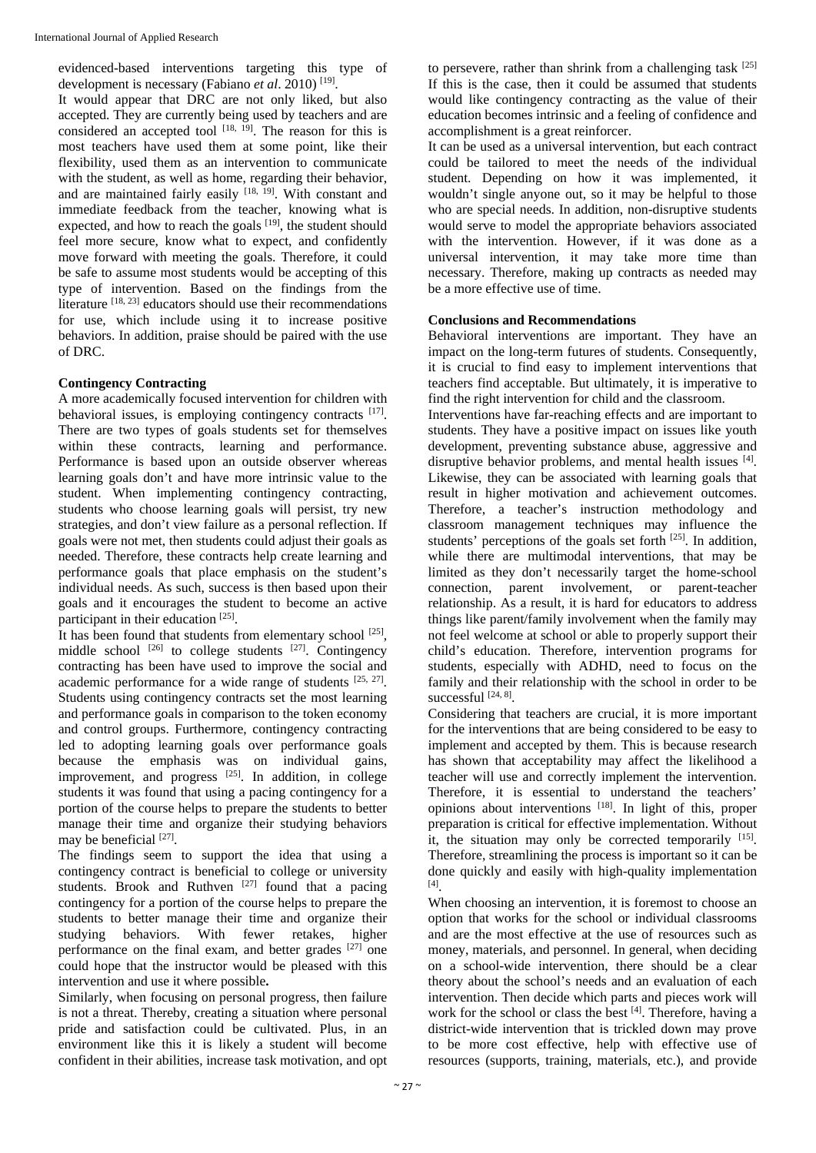evidenced-based interventions targeting this type of development is necessary (Fabiano et al. 2010)<sup>[19]</sup>.

It would appear that DRC are not only liked, but also accepted. They are currently being used by teachers and are considered an accepted tool  $[18, 19]$ . The reason for this is most teachers have used them at some point, like their flexibility, used them as an intervention to communicate with the student, as well as home, regarding their behavior, and are maintained fairly easily [18, 19]. With constant and immediate feedback from the teacher, knowing what is expected, and how to reach the goals [19], the student should feel more secure, know what to expect, and confidently move forward with meeting the goals. Therefore, it could be safe to assume most students would be accepting of this type of intervention. Based on the findings from the literature  $[18, 23]$  educators should use their recommendations for use, which include using it to increase positive behaviors. In addition, praise should be paired with the use of DRC.

#### **Contingency Contracting**

A more academically focused intervention for children with behavioral issues, is employing contingency contracts [17]. There are two types of goals students set for themselves within these contracts, learning and performance. Performance is based upon an outside observer whereas learning goals don't and have more intrinsic value to the student. When implementing contingency contracting, students who choose learning goals will persist, try new strategies, and don't view failure as a personal reflection. If goals were not met, then students could adjust their goals as needed. Therefore, these contracts help create learning and performance goals that place emphasis on the student's individual needs. As such, success is then based upon their goals and it encourages the student to become an active participant in their education [25].

It has been found that students from elementary school [25], middle school <sup>[26]</sup> to college students <sup>[27]</sup>. Contingency contracting has been have used to improve the social and academic performance for a wide range of students [25, 27]. Students using contingency contracts set the most learning and performance goals in comparison to the token economy and control groups. Furthermore, contingency contracting led to adopting learning goals over performance goals because the emphasis was on individual gains, improvement, and progress  $[25]$ . In addition, in college students it was found that using a pacing contingency for a portion of the course helps to prepare the students to better manage their time and organize their studying behaviors may be beneficial [27].

The findings seem to support the idea that using a contingency contract is beneficial to college or university students. Brook and Ruthven  $[27]$  found that a pacing contingency for a portion of the course helps to prepare the students to better manage their time and organize their studying behaviors. With fewer retakes, higher performance on the final exam, and better grades <sup>[27]</sup> one could hope that the instructor would be pleased with this intervention and use it where possible**.**

Similarly, when focusing on personal progress, then failure is not a threat. Thereby, creating a situation where personal pride and satisfaction could be cultivated. Plus, in an environment like this it is likely a student will become confident in their abilities, increase task motivation, and opt

to persevere, rather than shrink from a challenging task [25] If this is the case, then it could be assumed that students would like contingency contracting as the value of their education becomes intrinsic and a feeling of confidence and accomplishment is a great reinforcer.

It can be used as a universal intervention, but each contract could be tailored to meet the needs of the individual student. Depending on how it was implemented, it wouldn't single anyone out, so it may be helpful to those who are special needs. In addition, non-disruptive students would serve to model the appropriate behaviors associated with the intervention. However, if it was done as a universal intervention, it may take more time than necessary. Therefore, making up contracts as needed may be a more effective use of time.

#### **Conclusions and Recommendations**

Behavioral interventions are important. They have an impact on the long-term futures of students. Consequently, it is crucial to find easy to implement interventions that teachers find acceptable. But ultimately, it is imperative to find the right intervention for child and the classroom.

Interventions have far-reaching effects and are important to students. They have a positive impact on issues like youth development, preventing substance abuse, aggressive and disruptive behavior problems, and mental health issues [4]. Likewise, they can be associated with learning goals that result in higher motivation and achievement outcomes. Therefore, a teacher's instruction methodology and classroom management techniques may influence the students' perceptions of the goals set forth [25]. In addition, while there are multimodal interventions, that may be limited as they don't necessarily target the home-school connection, parent involvement, or parent-teacher relationship. As a result, it is hard for educators to address things like parent/family involvement when the family may not feel welcome at school or able to properly support their child's education. Therefore, intervention programs for students, especially with ADHD, need to focus on the family and their relationship with the school in order to be successful [24, 8].

Considering that teachers are crucial, it is more important for the interventions that are being considered to be easy to implement and accepted by them. This is because research has shown that acceptability may affect the likelihood a teacher will use and correctly implement the intervention. Therefore, it is essential to understand the teachers' opinions about interventions [18]. In light of this, proper preparation is critical for effective implementation. Without it, the situation may only be corrected temporarily [15]. Therefore, streamlining the process is important so it can be done quickly and easily with high-quality implementation [4].

When choosing an intervention, it is foremost to choose an option that works for the school or individual classrooms and are the most effective at the use of resources such as money, materials, and personnel. In general, when deciding on a school-wide intervention, there should be a clear theory about the school's needs and an evaluation of each intervention. Then decide which parts and pieces work will work for the school or class the best [4]. Therefore, having a district-wide intervention that is trickled down may prove to be more cost effective, help with effective use of resources (supports, training, materials, etc.), and provide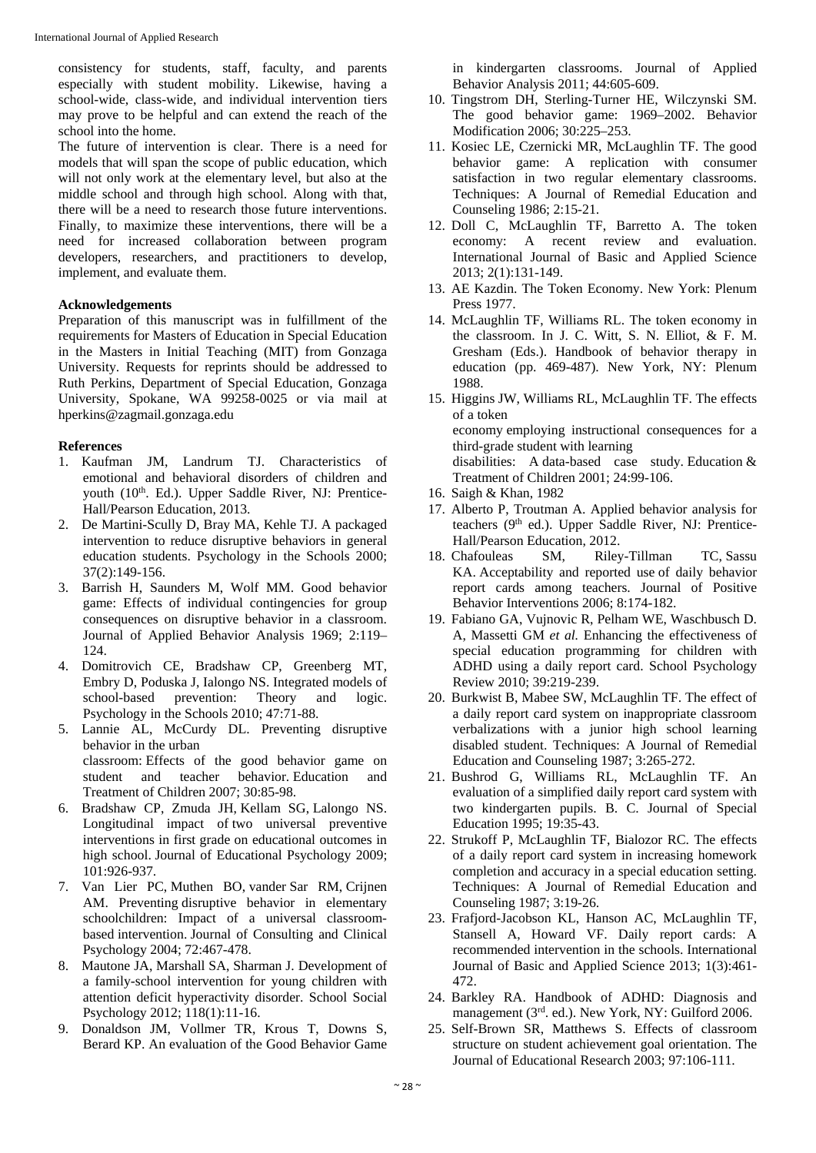consistency for students, staff, faculty, and parents especially with student mobility. Likewise, having a school-wide, class-wide, and individual intervention tiers may prove to be helpful and can extend the reach of the school into the home.

The future of intervention is clear. There is a need for models that will span the scope of public education, which will not only work at the elementary level, but also at the middle school and through high school. Along with that, there will be a need to research those future interventions. Finally, to maximize these interventions, there will be a need for increased collaboration between program developers, researchers, and practitioners to develop, implement, and evaluate them.

#### **Acknowledgements**

Preparation of this manuscript was in fulfillment of the requirements for Masters of Education in Special Education in the Masters in Initial Teaching (MIT) from Gonzaga University. Requests for reprints should be addressed to Ruth Perkins, Department of Special Education, Gonzaga University, Spokane, WA 99258-0025 or via mail at hperkins@zagmail.gonzaga.edu

#### **References**

- 1. Kaufman JM, Landrum TJ. Characteristics of emotional and behavioral disorders of children and youth (10<sup>th</sup>. Ed.). Upper Saddle River, NJ: Prentice-Hall/Pearson Education, 2013.
- 2. De Martini-Scully D, Bray MA, Kehle TJ. A packaged intervention to reduce disruptive behaviors in general education students. Psychology in the Schools 2000; 37(2):149-156.
- 3. Barrish H, Saunders M, Wolf MM. Good behavior game: Effects of individual contingencies for group consequences on disruptive behavior in a classroom. Journal of Applied Behavior Analysis 1969; 2:119– 124.
- 4. Domitrovich CE, Bradshaw CP, Greenberg MT, Embry D, Poduska J, Ialongo NS. Integrated models of school-based prevention: Theory and logic. Psychology in the Schools 2010; 47:71-88.
- 5. Lannie AL, McCurdy DL. Preventing disruptive behavior in the urban classroom: Effects of the good behavior game on student and teacher behavior. Education and Treatment of Children 2007; 30:85-98.
- 6. Bradshaw CP, Zmuda JH, Kellam SG, Lalongo NS. Longitudinal impact of two universal preventive interventions in first grade on educational outcomes in high school. Journal of Educational Psychology 2009; 101:926-937.
- 7. Van Lier PC, Muthen BO, vander Sar RM, Crijnen AM. Preventing disruptive behavior in elementary schoolchildren: Impact of a universal classroombased intervention. Journal of Consulting and Clinical Psychology 2004; 72:467-478.
- 8. Mautone JA, Marshall SA, Sharman J. Development of a family-school intervention for young children with attention deficit hyperactivity disorder. School Social Psychology 2012; 118(1):11-16.
- 9. Donaldson JM, Vollmer TR, Krous T, Downs S, Berard KP. An evaluation of the Good Behavior Game

in kindergarten classrooms. Journal of Applied Behavior Analysis 2011; 44:605-609.

- 10. Tingstrom DH, Sterling-Turner HE, Wilczynski SM. The good behavior game: 1969–2002. Behavior Modification 2006; 30:225–253.
- 11. Kosiec LE, Czernicki MR, McLaughlin TF. The good behavior game: A replication with consumer satisfaction in two regular elementary classrooms. Techniques: A Journal of Remedial Education and Counseling 1986; 2:15-21.
- 12. Doll C, McLaughlin TF, Barretto A. The token economy: A recent review and evaluation. International Journal of Basic and Applied Science 2013; 2(1):131-149.
- 13. AE Kazdin. The Token Economy. New York: Plenum Press 1977.
- 14. McLaughlin TF, Williams RL. The token economy in the classroom. In J. C. Witt, S. N. Elliot, & F. M. Gresham (Eds.). Handbook of behavior therapy in education (pp. 469-487). New York, NY: Plenum 1988.
- 15. Higgins JW, Williams RL, McLaughlin TF. The effects of a token economy employing instructional consequences for a third-grade student with learning disabilities: A data-based case study. Education & Treatment of Children 2001; 24:99-106.
- 16. Saigh & Khan, 1982
- 17. Alberto P, Troutman A. Applied behavior analysis for teachers (9<sup>th</sup> ed.). Upper Saddle River, NJ: Prentice-Hall/Pearson Education, 2012.
- 18. Chafouleas SM, Riley-Tillman TC, Sassu KA. Acceptability and reported use of daily behavior report cards among teachers. Journal of Positive Behavior Interventions 2006; 8:174-182.
- 19. Fabiano GA, Vujnovic R, Pelham WE, Waschbusch D. A, Massetti GM *et al.* Enhancing the effectiveness of special education programming for children with ADHD using a daily report card. School Psychology Review 2010; 39:219-239.
- 20. Burkwist B, Mabee SW, McLaughlin TF. The effect of a daily report card system on inappropriate classroom verbalizations with a junior high school learning disabled student. Techniques: A Journal of Remedial Education and Counseling 1987; 3:265-272.
- 21. Bushrod G, Williams RL, McLaughlin TF. An evaluation of a simplified daily report card system with two kindergarten pupils. B. C. Journal of Special Education 1995; 19:35-43.
- 22. Strukoff P, McLaughlin TF, Bialozor RC. The effects of a daily report card system in increasing homework completion and accuracy in a special education setting. Techniques: A Journal of Remedial Education and Counseling 1987; 3:19-26.
- 23. Frafjord-Jacobson KL, Hanson AC, McLaughlin TF, Stansell A, Howard VF. Daily report cards: A recommended intervention in the schools. International Journal of Basic and Applied Science 2013; 1(3):461- 472.
- 24. Barkley RA. Handbook of ADHD: Diagnosis and management (3rd. ed.). New York, NY: Guilford 2006.
- 25. Self-Brown SR, Matthews S. Effects of classroom structure on student achievement goal orientation. The Journal of Educational Research 2003; 97:106-111.